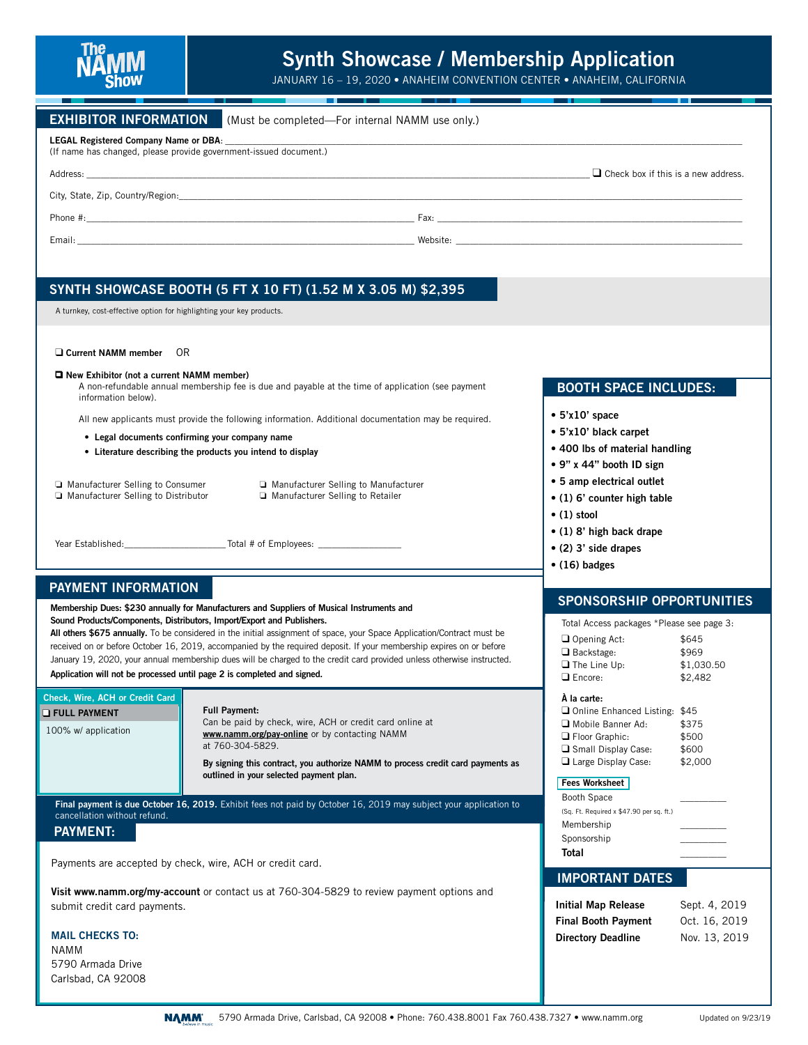

## **Synth Showcase / Membership Application**

JANUARY 16 – 19, 2020 • ANAHEIM CONVENTION CENTER • ANAHEIM, CALIFORNIA

| (Must be completed—For internal NAMM use only.)                                                                                                                                                                                                |  |  |  |  |
|------------------------------------------------------------------------------------------------------------------------------------------------------------------------------------------------------------------------------------------------|--|--|--|--|
| (If name has changed, please provide government-issued document.)                                                                                                                                                                              |  |  |  |  |
| $\Box$ Check box if this is a new address.                                                                                                                                                                                                     |  |  |  |  |
| City, State, Zip, Country/Region.                                                                                                                                                                                                              |  |  |  |  |
| Phone $\#$ :<br>Fax: The contract of the contract of the contract of the contract of the contract of the contract of the contract of the contract of the contract of the contract of the contract of the contract of the contract of the contr |  |  |  |  |
| website: the contract of the contract of the contract of the contract of the contract of the contract of the contract of the contract of the contract of the contract of the contract of the contract of the contract of the c                 |  |  |  |  |
|                                                                                                                                                                                                                                                |  |  |  |  |

## **SYNTH SHOWCASE BOOTH (5 FT X 10 FT) (1.52 M X 3.05 M) \$2,395**

A turnkey, cost-effective option for highlighting your key products.

#### **Current NAMM member** OR

#### **New Exhibitor (not a current NAMM member)**

 A non-refundable annual membership fee is due and payable at the time of application (see payment information below).

All new applicants must provide the following information. Additional documentation may be required.

- **Legal documents confirming your company name**
- **Literature describing the products you intend to display**
- ❏ Manufacturer Selling to Consumer ❏ Manufacturer Selling to Distributor

❏ Manufacturer Selling to Manufacturer ❏ Manufacturer Selling to Retailer

Year Established:\_\_\_\_\_\_\_\_\_\_\_\_\_\_\_\_\_\_\_\_\_\_ Total # of Employees: \_\_\_\_\_\_\_\_\_\_\_\_\_\_\_\_\_\_

## **PAYMENT INFORMATION**

**Membership Dues: \$230 annually for Manufacturers and Suppliers of Musical Instruments and Sound Products/Components, Distributors, Import/Export and Publishers.** 

**All others \$675 annually.** To be considered in the initial assignment of space, your Space Application/Contract must be received on or before October 16, 2019, accompanied by the required deposit. If your membership expires on or before January 19, 2020, your annual membership dues will be charged to the credit card provided unless otherwise instructed. **Application will not be processed until page 2 is completed and signed.**

#### **Full Payment:** Can be paid by check, wire, ACH or credit card online at **www.namm.org/pay-online** or by contacting NAMM at 760-304-5829. **By signing this contract, you authorize NAMM to process credit card payments as outlined in your selected payment plan. Check, Wire, ACH or Credit Card** 100% w/ application **FULL PAYMENT**

**Final payment is due October 16, 2019.** Exhibit fees not paid by October 16, 2019 may subject your application to cancellation without refund.

## **PAYMENT:**

Payments are accepted by check, wire, ACH or credit card.

**Visit www.namm.org/my-account** or contact us at 760-304-5829 to review payment options and submit credit card payments.

**MAIL CHECKS TO:** NAMM 5790 Armada Drive Carlsbad, CA 92008

## **BOOTH SPACE INCLUDES:**

## **• 5'x10' space**

- **5'x10' black carpet**
- **400 lbs of material handling**
- **9" x 44" booth ID sign**
- **5 amp electrical outlet**
- **(1) 6' counter high table**
- **(1) stool**
- **(1) 8' high back drape**
- **(2) 3' side drapes**
- **(16) badges**

## **SPONSORSHIP OPPORTUNITIES**

Total Access packages \*Please see page 3: Opening Act: \$645 Backstage: \$969 The Line Up: \$1,030.50 Encore: \$2,482 **À la carte:** Online Enhanced Listing: \$45 Mobile Banner Ad: \$375 Floor Graphic: \$500

Small Display Case: \$600 □ Large Display Case: \$2,000

## **Fees Worksheet**

| Total                                    |  |
|------------------------------------------|--|
| Sponsorship                              |  |
| Membership                               |  |
| (Sq. Ft. Required x \$47.90 per sq. ft.) |  |
| Booth Space                              |  |

## **IMPORTANT DATES**

| <b>Initial Map Release</b> | Sept. 4, 2019 |
|----------------------------|---------------|
| <b>Final Booth Payment</b> | Oct. 16, 2019 |
| <b>Directory Deadline</b>  | Nov. 13, 2019 |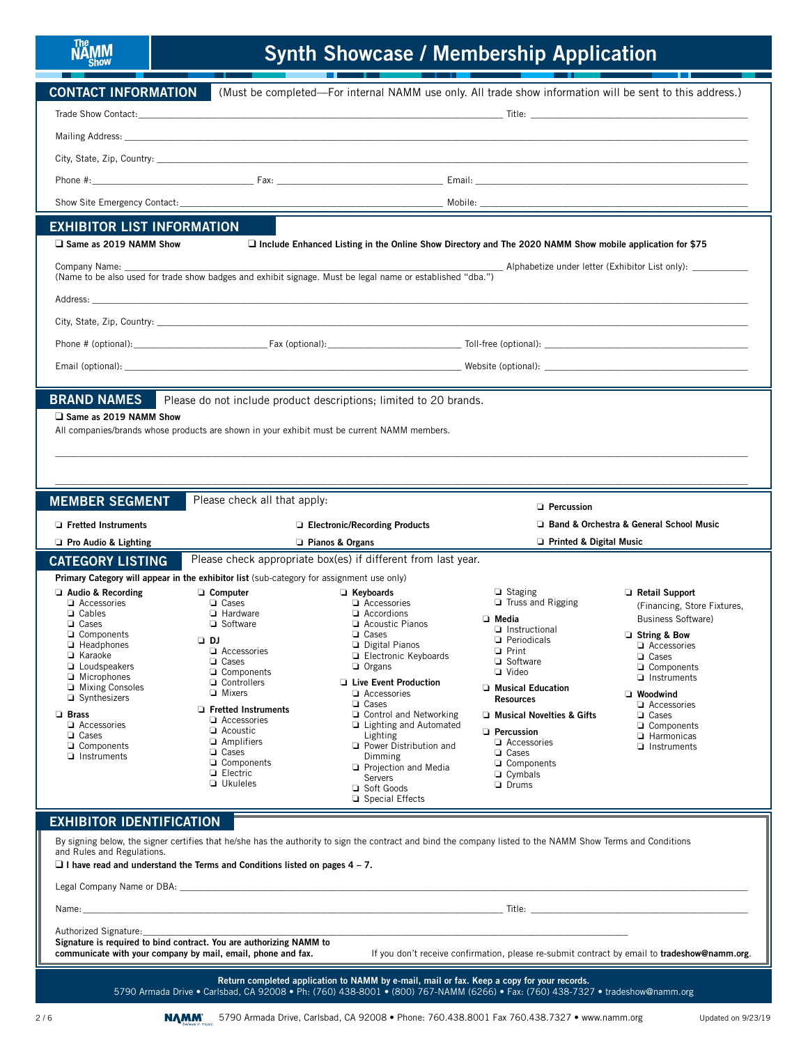# The MAMM

## **Synth Showcase / Membership Application**

| <b>CONTACT INFORMATION</b>                                                                                                                                                                                                                                                                                                 | (Must be completed—For internal NAMM use only. All trade show information will be sent to this address.)                                                                                                                                                                                           |                                                                                                                                                                                                                                                                                                                                                                                                          |                                                                                                                                                                                                                                                                                                             |                                                                                                                                                                                                                                                           |  |  |
|----------------------------------------------------------------------------------------------------------------------------------------------------------------------------------------------------------------------------------------------------------------------------------------------------------------------------|----------------------------------------------------------------------------------------------------------------------------------------------------------------------------------------------------------------------------------------------------------------------------------------------------|----------------------------------------------------------------------------------------------------------------------------------------------------------------------------------------------------------------------------------------------------------------------------------------------------------------------------------------------------------------------------------------------------------|-------------------------------------------------------------------------------------------------------------------------------------------------------------------------------------------------------------------------------------------------------------------------------------------------------------|-----------------------------------------------------------------------------------------------------------------------------------------------------------------------------------------------------------------------------------------------------------|--|--|
|                                                                                                                                                                                                                                                                                                                            |                                                                                                                                                                                                                                                                                                    |                                                                                                                                                                                                                                                                                                                                                                                                          |                                                                                                                                                                                                                                                                                                             |                                                                                                                                                                                                                                                           |  |  |
|                                                                                                                                                                                                                                                                                                                            |                                                                                                                                                                                                                                                                                                    |                                                                                                                                                                                                                                                                                                                                                                                                          |                                                                                                                                                                                                                                                                                                             |                                                                                                                                                                                                                                                           |  |  |
|                                                                                                                                                                                                                                                                                                                            |                                                                                                                                                                                                                                                                                                    |                                                                                                                                                                                                                                                                                                                                                                                                          |                                                                                                                                                                                                                                                                                                             |                                                                                                                                                                                                                                                           |  |  |
|                                                                                                                                                                                                                                                                                                                            |                                                                                                                                                                                                                                                                                                    |                                                                                                                                                                                                                                                                                                                                                                                                          |                                                                                                                                                                                                                                                                                                             |                                                                                                                                                                                                                                                           |  |  |
|                                                                                                                                                                                                                                                                                                                            |                                                                                                                                                                                                                                                                                                    |                                                                                                                                                                                                                                                                                                                                                                                                          |                                                                                                                                                                                                                                                                                                             |                                                                                                                                                                                                                                                           |  |  |
| <b>EXHIBITOR LIST INFORMATION</b>                                                                                                                                                                                                                                                                                          |                                                                                                                                                                                                                                                                                                    |                                                                                                                                                                                                                                                                                                                                                                                                          |                                                                                                                                                                                                                                                                                                             |                                                                                                                                                                                                                                                           |  |  |
| Same as 2019 NAMM Show                                                                                                                                                                                                                                                                                                     |                                                                                                                                                                                                                                                                                                    |                                                                                                                                                                                                                                                                                                                                                                                                          | $\Box$ Include Enhanced Listing in the Online Show Directory and The 2020 NAMM Show mobile application for \$75                                                                                                                                                                                             |                                                                                                                                                                                                                                                           |  |  |
| Alphabetize under letter (Exhibitor List only):<br>Company Name:<br>(Name to be also used for trade show badges and exhibit signage. Must be legal name or established "dba.")                                                                                                                                             |                                                                                                                                                                                                                                                                                                    |                                                                                                                                                                                                                                                                                                                                                                                                          |                                                                                                                                                                                                                                                                                                             |                                                                                                                                                                                                                                                           |  |  |
|                                                                                                                                                                                                                                                                                                                            |                                                                                                                                                                                                                                                                                                    |                                                                                                                                                                                                                                                                                                                                                                                                          |                                                                                                                                                                                                                                                                                                             |                                                                                                                                                                                                                                                           |  |  |
|                                                                                                                                                                                                                                                                                                                            |                                                                                                                                                                                                                                                                                                    |                                                                                                                                                                                                                                                                                                                                                                                                          |                                                                                                                                                                                                                                                                                                             |                                                                                                                                                                                                                                                           |  |  |
|                                                                                                                                                                                                                                                                                                                            |                                                                                                                                                                                                                                                                                                    |                                                                                                                                                                                                                                                                                                                                                                                                          |                                                                                                                                                                                                                                                                                                             |                                                                                                                                                                                                                                                           |  |  |
|                                                                                                                                                                                                                                                                                                                            |                                                                                                                                                                                                                                                                                                    |                                                                                                                                                                                                                                                                                                                                                                                                          |                                                                                                                                                                                                                                                                                                             |                                                                                                                                                                                                                                                           |  |  |
|                                                                                                                                                                                                                                                                                                                            |                                                                                                                                                                                                                                                                                                    |                                                                                                                                                                                                                                                                                                                                                                                                          |                                                                                                                                                                                                                                                                                                             |                                                                                                                                                                                                                                                           |  |  |
| <b>BRAND NAMES</b><br>Same as 2019 NAMM Show<br>All companies/brands whose products are shown in your exhibit must be current NAMM members.                                                                                                                                                                                | Please do not include product descriptions; limited to 20 brands.                                                                                                                                                                                                                                  |                                                                                                                                                                                                                                                                                                                                                                                                          |                                                                                                                                                                                                                                                                                                             |                                                                                                                                                                                                                                                           |  |  |
| <b>MEMBER SEGMENT</b>                                                                                                                                                                                                                                                                                                      | Please check all that apply:                                                                                                                                                                                                                                                                       |                                                                                                                                                                                                                                                                                                                                                                                                          | <b>D</b> Percussion                                                                                                                                                                                                                                                                                         |                                                                                                                                                                                                                                                           |  |  |
| □ Fretted Instruments                                                                                                                                                                                                                                                                                                      |                                                                                                                                                                                                                                                                                                    | □ Electronic/Recording Products                                                                                                                                                                                                                                                                                                                                                                          |                                                                                                                                                                                                                                                                                                             | Band & Orchestra & General School Music                                                                                                                                                                                                                   |  |  |
| Pro Audio & Lighting                                                                                                                                                                                                                                                                                                       | $\Box$ Pianos & Organs                                                                                                                                                                                                                                                                             |                                                                                                                                                                                                                                                                                                                                                                                                          | $\Box$ Printed & Digital Music                                                                                                                                                                                                                                                                              |                                                                                                                                                                                                                                                           |  |  |
| <b>CATEGORY LISTING</b>                                                                                                                                                                                                                                                                                                    | Please check appropriate box(es) if different from last year.                                                                                                                                                                                                                                      |                                                                                                                                                                                                                                                                                                                                                                                                          |                                                                                                                                                                                                                                                                                                             |                                                                                                                                                                                                                                                           |  |  |
| Primary Category will appear in the exhibitor list (sub-category for assignment use only)<br>$\Box$ Audio & Recording                                                                                                                                                                                                      | □ Computer                                                                                                                                                                                                                                                                                         | Revboards                                                                                                                                                                                                                                                                                                                                                                                                | $\Box$ Staging                                                                                                                                                                                                                                                                                              | Retail Support                                                                                                                                                                                                                                            |  |  |
| Accessories<br><b>Q</b> Cables<br>$\Box$ Cases<br>□ Components<br>$\Box$ Headphones<br><b>□</b> Karaoke<br><b>Q</b> Loudspeakers<br>$\Box$ Microphones<br>□ Mixing Consoles<br>$\Box$ Synthesizers<br><b>Brass</b><br>Accessories<br>$\Box$ Cases<br>□ Components<br>$\Box$ Instruments<br><b>EXHIBITOR IDENTIFICATION</b> | <b>Q</b> Cases<br>$\Box$ Hardware<br>□ Software<br>נם ב<br>Accessories<br>□ Cases<br>$\sqcup$ Components<br>Controllers<br><b>D</b> Mixers<br>$\Box$ Fretted Instruments<br>$\Box$ Accessories<br>Acoustic<br>$\Box$ Amplifiers<br>□ Cases<br>□ Components<br><b>Electric</b><br><b>J</b> Ukuleles | $\Box$ Accessories<br>$\Box$ Accordions<br>Acoustic Pianos<br>$\Box$ Cases<br><b>Digital Pianos</b><br>Electronic Keyboards<br>$\Box$ Organs<br><b>Live Event Production</b><br>Accessories<br>□ Cases<br>$\Box$ Control and Networking<br>$\Box$ Lighting and Automated<br>Lighting<br>Power Distribution and<br>Dimming<br>Projection and Media<br><b>Servers</b><br>□ Soft Goods<br>□ Special Effects | Truss and Rigging<br><b>D</b> Media<br>Instructional<br><b>D</b> Periodicals<br>□ Print<br>□ Software<br>$\sqcup$ Video<br><b>D</b> Musical Education<br><b>Resources</b><br>I Musical Novelties & Gifts<br>$\Box$ Percussion<br>Accessories<br><b>Q</b> Cases<br>□ Components<br>□ Cymbals<br><b>Drums</b> | (Financing, Store Fixtures,<br><b>Business Software)</b><br>String & Bow<br>Accessories<br><b>Q</b> Cases<br>□ Components<br>$\Box$ Instruments<br><b>U</b> Woodwind<br>Accessories<br>□ Cases<br>□ Components<br><b>Harmonicas</b><br>$\Box$ Instruments |  |  |
| By signing below, the signer certifies that he/she has the authority to sign the contract and bind the company listed to the NAMM Show Terms and Conditions<br>and Rules and Regulations.                                                                                                                                  |                                                                                                                                                                                                                                                                                                    |                                                                                                                                                                                                                                                                                                                                                                                                          |                                                                                                                                                                                                                                                                                                             |                                                                                                                                                                                                                                                           |  |  |
| $\Box$ I have read and understand the Terms and Conditions listed on pages 4 – 7.                                                                                                                                                                                                                                          |                                                                                                                                                                                                                                                                                                    |                                                                                                                                                                                                                                                                                                                                                                                                          |                                                                                                                                                                                                                                                                                                             |                                                                                                                                                                                                                                                           |  |  |
| Legal Company Name or DBA: Legal Company Name or DBA:                                                                                                                                                                                                                                                                      |                                                                                                                                                                                                                                                                                                    |                                                                                                                                                                                                                                                                                                                                                                                                          |                                                                                                                                                                                                                                                                                                             |                                                                                                                                                                                                                                                           |  |  |
| Name:                                                                                                                                                                                                                                                                                                                      |                                                                                                                                                                                                                                                                                                    |                                                                                                                                                                                                                                                                                                                                                                                                          | and the contract of the contract of the contract of the contract of the contract of the contract of the contract of the contract of the contract of the contract of the contract of the contract of the contract of the contra                                                                              |                                                                                                                                                                                                                                                           |  |  |
| Authorized Signature:<br>Signature is required to bind contract. You are authorizing NAMM to<br>If you don't receive confirmation, please re-submit contract by email to tradeshow@namm.org.<br>communicate with your company by mail, email, phone and fax.<br><u> 1989 - John Stone, Amerikaansk politiker (* 1989)</u>  |                                                                                                                                                                                                                                                                                                    |                                                                                                                                                                                                                                                                                                                                                                                                          |                                                                                                                                                                                                                                                                                                             |                                                                                                                                                                                                                                                           |  |  |
|                                                                                                                                                                                                                                                                                                                            |                                                                                                                                                                                                                                                                                                    | Return completed application to NAMM by e-mail, mail or fax. Keep a copy for your records.                                                                                                                                                                                                                                                                                                               | 5790 Armada Drive . Carlsbad, CA 92008 . Ph: (760) 438-8001 . (800) 767-NAMM (6266) . Fax: (760) 438-7327 . tradeshow@namm.org                                                                                                                                                                              |                                                                                                                                                                                                                                                           |  |  |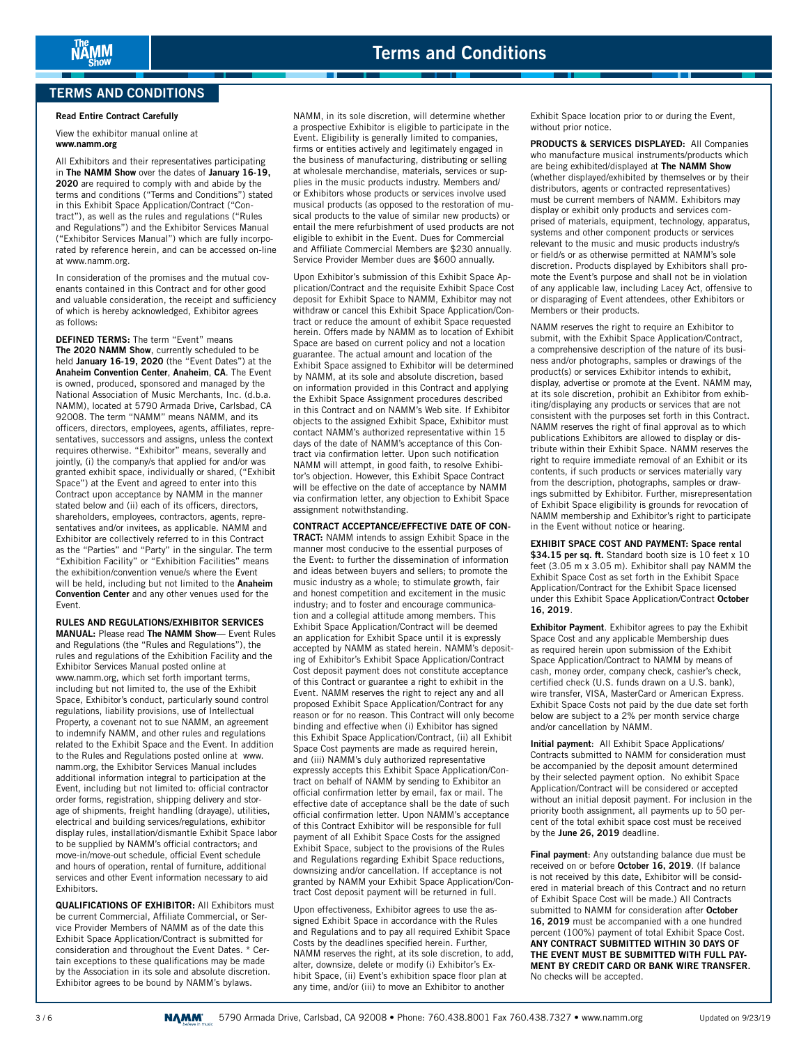## **TERMS AND CONDITIONS**

#### **Read Entire Contract Carefully**

View the exhibitor manual online at **www.namm.org**

All Exhibitors and their representatives participating in **The NAMM Show** over the dates of **January 16-19, 2020** are required to comply with and abide by the terms and conditions ("Terms and Conditions") stated in this Exhibit Space Application/Contract ("Contract"), as well as the rules and regulations ("Rules and Regulations") and the Exhibitor Services Manual ("Exhibitor Services Manual") which are fully incorporated by reference herein, and can be accessed on-line at www.namm.org.

In consideration of the promises and the mutual covenants contained in this Contract and for other good and valuable consideration, the receipt and sufficiency of which is hereby acknowledged, Exhibitor agrees as follows:

**DEFINED TERMS:** The term "Event" means **The 2020 NAMM Show**, currently scheduled to be held **January 16-19, 2020** (the "Event Dates") at the **Anaheim Convention Center**, **Anaheim**, **CA**. The Event is owned, produced, sponsored and managed by the National Association of Music Merchants, Inc. (d.b.a. NAMM), located at 5790 Armada Drive, Carlsbad, CA 92008. The term "NAMM" means NAMM, and its officers, directors, employees, agents, affiliates, representatives, successors and assigns, unless the context requires otherwise. "Exhibitor" means, severally and jointly, (i) the company/s that applied for and/or was granted exhibit space, individually or shared, ("Exhibit Space") at the Event and agreed to enter into this Contract upon acceptance by NAMM in the manner stated below and (ii) each of its officers, directors, shareholders, employees, contractors, agents, representatives and/or invitees, as applicable. NAMM and Exhibitor are collectively referred to in this Contract as the "Parties" and "Party" in the singular. The term "Exhibition Facility" or "Exhibition Facilities" means the exhibition/convention venue/s where the Event will be held, including but not limited to the **Anaheim Convention Center** and any other venues used for the Event.

**RULES AND REGULATIONS/EXHIBITOR SERVICES MANUAL:** Please read **The NAMM Show**— Event Rules and Regulations (the "Rules and Regulations"), the rules and regulations of the Exhibition Facility and the Exhibitor Services Manual posted online at www.namm.org, which set forth important terms, including but not limited to, the use of the Exhibit Space, Exhibitor's conduct, particularly sound control regulations, liability provisions, use of Intellectual Property, a covenant not to sue NAMM, an agreement to indemnify NAMM, and other rules and regulations related to the Exhibit Space and the Event. In addition to the Rules and Regulations posted online at www. namm.org, the Exhibitor Services Manual includes additional information integral to participation at the Event, including but not limited to: official contractor order forms, registration, shipping delivery and storage of shipments, freight handling (drayage), utilities, electrical and building services/regulations, exhibitor display rules, installation/dismantle Exhibit Space labor to be supplied by NAMM's official contractors; and move-in/move-out schedule, official Event schedule and hours of operation, rental of furniture, additional services and other Event information necessary to aid **Exhibitors** 

**QUALIFICATIONS OF EXHIBITOR:** All Exhibitors must be current Commercial, Affiliate Commercial, or Service Provider Members of NAMM as of the date this Exhibit Space Application/Contract is submitted for consideration and throughout the Event Dates. \* Certain exceptions to these qualifications may be made by the Association in its sole and absolute discretion. Exhibitor agrees to be bound by NAMM's bylaws.

NAMM, in its sole discretion, will determine whether a prospective Exhibitor is eligible to participate in the Event. Eligibility is generally limited to companies, firms or entities actively and legitimately engaged in the business of manufacturing, distributing or selling at wholesale merchandise, materials, services or supplies in the music products industry. Members and/ or Exhibitors whose products or services involve used musical products (as opposed to the restoration of musical products to the value of similar new products) or entail the mere refurbishment of used products are not eligible to exhibit in the Event. Dues for Commercial and Affiliate Commercial Members are \$230 annually. Service Provider Member dues are \$600 annually.

. .

Upon Exhibitor's submission of this Exhibit Space Application/Contract and the requisite Exhibit Space Cost deposit for Exhibit Space to NAMM, Exhibitor may not withdraw or cancel this Exhibit Space Application/Contract or reduce the amount of exhibit Space requested herein. Offers made by NAMM as to location of Exhibit Space are based on current policy and not a location guarantee. The actual amount and location of the Exhibit Space assigned to Exhibitor will be determined by NAMM, at its sole and absolute discretion, based on information provided in this Contract and applying the Exhibit Space Assignment procedures described in this Contract and on NAMM's Web site. If Exhibitor objects to the assigned Exhibit Space, Exhibitor must contact NAMM's authorized representative within 15 days of the date of NAMM's acceptance of this Contract via confirmation letter. Upon such notification NAMM will attempt, in good faith, to resolve Exhibitor's objection. However, this Exhibit Space Contract will be effective on the date of acceptance by NAMM via confirmation letter, any objection to Exhibit Space assignment notwithstanding.

**CONTRACT ACCEPTANCE/EFFECTIVE DATE OF CON-TRACT:** NAMM intends to assign Exhibit Space in the manner most conducive to the essential purposes of the Event: to further the dissemination of information and ideas between buyers and sellers; to promote the music industry as a whole; to stimulate growth, fair and honest competition and excitement in the music industry; and to foster and encourage communication and a collegial attitude among members. This Exhibit Space Application/Contract will be deemed an application for Exhibit Space until it is expressly accepted by NAMM as stated herein. NAMM's depositing of Exhibitor's Exhibit Space Application/Contract Cost deposit payment does not constitute acceptance of this Contract or guarantee a right to exhibit in the Event. NAMM reserves the right to reject any and all proposed Exhibit Space Application/Contract for any reason or for no reason. This Contract will only become binding and effective when (i) Exhibitor has signed this Exhibit Space Application/Contract, (ii) all Exhibit Space Cost payments are made as required herein, and (iii) NAMM's duly authorized representative expressly accepts this Exhibit Space Application/Contract on behalf of NAMM by sending to Exhibitor an official confirmation letter by email, fax or mail. The effective date of acceptance shall be the date of such official confirmation letter. Upon NAMM's acceptance of this Contract Exhibitor will be responsible for full payment of all Exhibit Space Costs for the assigned Exhibit Space, subject to the provisions of the Rules and Regulations regarding Exhibit Space reductions, downsizing and/or cancellation. If acceptance is not granted by NAMM your Exhibit Space Application/Contract Cost deposit payment will be returned in full.

Upon effectiveness, Exhibitor agrees to use the assigned Exhibit Space in accordance with the Rules and Regulations and to pay all required Exhibit Space Costs by the deadlines specified herein. Further, NAMM reserves the right, at its sole discretion, to add, alter, downsize, delete or modify (i) Exhibitor's Exhibit Space, (ii) Event's exhibition space floor plan at any time, and/or (iii) to move an Exhibitor to another

Exhibit Space location prior to or during the Event, without prior notice.

**PRODUCTS & SERVICES DISPLAYED:** All Companies who manufacture musical instruments/products which are being exhibited/displayed at **The NAMM Show** (whether displayed/exhibited by themselves or by their distributors, agents or contracted representatives) must be current members of NAMM. Exhibitors may display or exhibit only products and services comprised of materials, equipment, technology, apparatus, systems and other component products or services relevant to the music and music products industry/s or field/s or as otherwise permitted at NAMM's sole discretion. Products displayed by Exhibitors shall promote the Event's purpose and shall not be in violation of any applicable law, including Lacey Act, offensive to or disparaging of Event attendees, other Exhibitors or Members or their products.

NAMM reserves the right to require an Exhibitor to submit, with the Exhibit Space Application/Contract, a comprehensive description of the nature of its business and/or photographs, samples or drawings of the product(s) or services Exhibitor intends to exhibit, display, advertise or promote at the Event. NAMM may, at its sole discretion, prohibit an Exhibitor from exhibiting/displaying any products or services that are not consistent with the purposes set forth in this Contract. NAMM reserves the right of final approval as to which publications Exhibitors are allowed to display or distribute within their Exhibit Space. NAMM reserves the right to require immediate removal of an Exhibit or its contents, if such products or services materially vary from the description, photographs, samples or drawings submitted by Exhibitor. Further, misrepresentation of Exhibit Space eligibility is grounds for revocation of NAMM membership and Exhibitor's right to participate in the Event without notice or hearing.

**EXHIBIT SPACE COST AND PAYMENT: Space rental \$34.15 per sq. ft.** Standard booth size is 10 feet x 10 feet (3.05 m x 3.05 m). Exhibitor shall pay NAMM the Exhibit Space Cost as set forth in the Exhibit Space Application/Contract for the Exhibit Space licensed under this Exhibit Space Application/Contract **October 16, 2019**.

**Exhibitor Payment**. Exhibitor agrees to pay the Exhibit Space Cost and any applicable Membership dues as required herein upon submission of the Exhibit Space Application/Contract to NAMM by means of cash, money order, company check, cashier's check, certified check (U.S. funds drawn on a U.S. bank), wire transfer, VISA, MasterCard or American Express. Exhibit Space Costs not paid by the due date set forth below are subject to a 2% per month service charge and/or cancellation by NAMM.

**Initial payment**: All Exhibit Space Applications/ Contracts submitted to NAMM for consideration must be accompanied by the deposit amount determined by their selected payment option. No exhibit Space Application/Contract will be considered or accepted without an initial deposit payment. For inclusion in the priority booth assignment, all payments up to 50 percent of the total exhibit space cost must be received by the **June 26, 2019** deadline.

**Final payment**: Any outstanding balance due must be received on or before **October 16, 2019**. (If balance is not received by this date, Exhibitor will be considered in material breach of this Contract and no return of Exhibit Space Cost will be made.) All Contracts submitted to NAMM for consideration after **October 16, 2019** must be accompanied with a one hundred percent (100%) payment of total Exhibit Space Cost. **ANY CONTRACT SUBMITTED WITHIN 30 DAYS OF THE EVENT MUST BE SUBMITTED WITH FULL PAY-MENT BY CREDIT CARD OR BANK WIRE TRANSFER.** No checks will be accepted.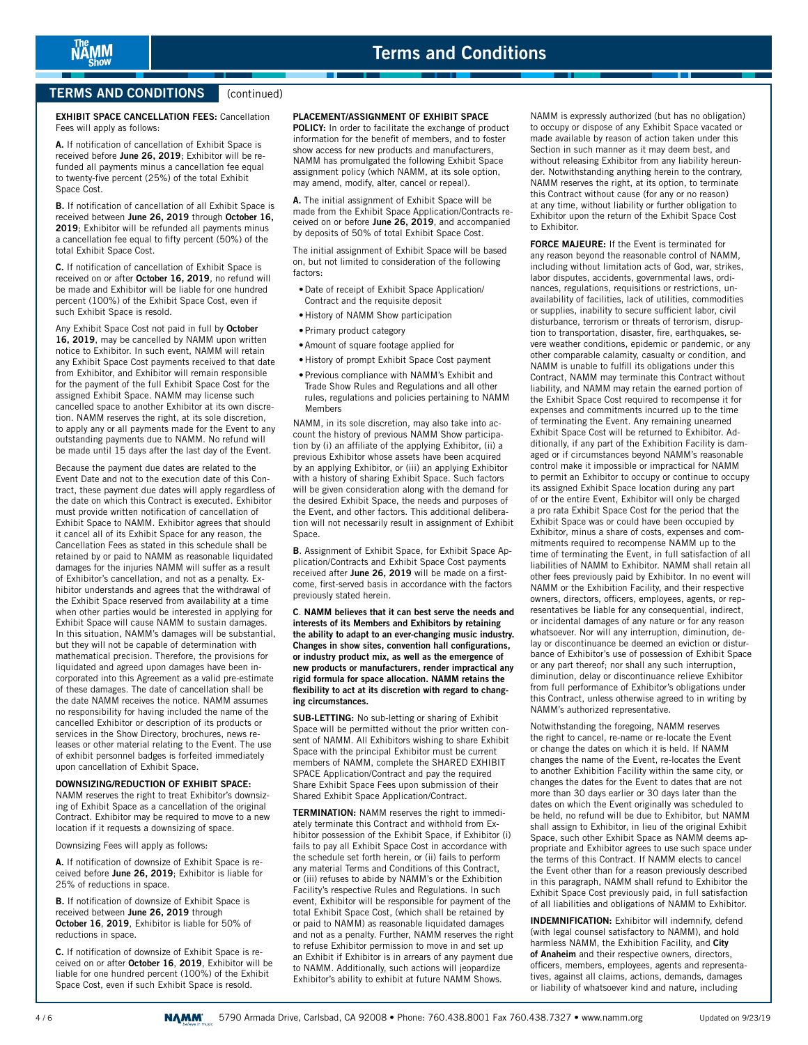## **TERMS AND CONDITIONS** (continued)

**EXHIBIT SPACE CANCELLATION FEES:** Cancellation Fees will apply as follows:

**A.** If notification of cancellation of Exhibit Space is received before **June 26, 2019**; Exhibitor will be refunded all payments minus a cancellation fee equal to twenty-five percent (25%) of the total Exhibit Space Cost.

**B.** If notification of cancellation of all Exhibit Space is received between **June 26, 2019** through **October 16, 2019**; Exhibitor will be refunded all payments minus a cancellation fee equal to fifty percent (50%) of the total Exhibit Space Cost.

**C.** If notification of cancellation of Exhibit Space is received on or after **October 16, 2019**, no refund will be made and Exhibitor will be liable for one hundred percent (100%) of the Exhibit Space Cost, even if such Exhibit Space is resold.

Any Exhibit Space Cost not paid in full by **October 16, 2019**, may be cancelled by NAMM upon written notice to Exhibitor. In such event, NAMM will retain any Exhibit Space Cost payments received to that date from Exhibitor, and Exhibitor will remain responsible for the payment of the full Exhibit Space Cost for the assigned Exhibit Space. NAMM may license such cancelled space to another Exhibitor at its own discretion. NAMM reserves the right, at its sole discretion, to apply any or all payments made for the Event to any outstanding payments due to NAMM. No refund will be made until 15 days after the last day of the Event.

Because the payment due dates are related to the Event Date and not to the execution date of this Contract, these payment due dates will apply regardless of the date on which this Contract is executed. Exhibitor must provide written notification of cancellation of Exhibit Space to NAMM. Exhibitor agrees that should it cancel all of its Exhibit Space for any reason, the Cancellation Fees as stated in this schedule shall be retained by or paid to NAMM as reasonable liquidated damages for the injuries NAMM will suffer as a result of Exhibitor's cancellation, and not as a penalty. Exhibitor understands and agrees that the withdrawal of the Exhibit Space reserved from availability at a time when other parties would be interested in applying for Exhibit Space will cause NAMM to sustain damages. In this situation, NAMM's damages will be substantial, but they will not be capable of determination with mathematical precision. Therefore, the provisions for liquidated and agreed upon damages have been incorporated into this Agreement as a valid pre-estimate of these damages. The date of cancellation shall be the date NAMM receives the notice. NAMM assumes no responsibility for having included the name of the cancelled Exhibitor or description of its products or services in the Show Directory, brochures, news releases or other material relating to the Event. The use of exhibit personnel badges is forfeited immediately upon cancellation of Exhibit Space.

#### **DOWNSIZING/REDUCTION OF EXHIBIT SPACE:**

NAMM reserves the right to treat Exhibitor's downsizing of Exhibit Space as a cancellation of the original Contract. Exhibitor may be required to move to a new location if it requests a downsizing of space.

Downsizing Fees will apply as follows:

**A.** If notification of downsize of Exhibit Space is received before **June 26, 2019**; Exhibitor is liable for 25% of reductions in space.

**B.** If notification of downsize of Exhibit Space is received between **June 26, 2019** through **October 16**, **2019**, Exhibitor is liable for 50% of reductions in space.

**C.** If notification of downsize of Exhibit Space is received on or after **October 16**, **2019**, Exhibitor will be liable for one hundred percent (100%) of the Exhibit Space Cost, even if such Exhibit Space is resold.

#### **PLACEMENT/ASSIGNMENT OF EXHIBIT SPACE**

. .

**POLICY:** In order to facilitate the exchange of product information for the benefit of members, and to foster show access for new products and manufacturers, NAMM has promulgated the following Exhibit Space assignment policy (which NAMM, at its sole option, may amend, modify, alter, cancel or repeal).

**A.** The initial assignment of Exhibit Space will be made from the Exhibit Space Application/Contracts received on or before **June 26, 2019**, and accompanied by deposits of 50% of total Exhibit Space Cost.

The initial assignment of Exhibit Space will be based on, but not limited to consideration of the following factors:

- •Date of receipt of Exhibit Space Application/ Contract and the requisite deposit
- •History of NAMM Show participation
- •Primary product category
- •Amount of square footage applied for
- •History of prompt Exhibit Space Cost payment
- •Previous compliance with NAMM's Exhibit and Trade Show Rules and Regulations and all other rules, regulations and policies pertaining to NAMM Members

NAMM, in its sole discretion, may also take into account the history of previous NAMM Show participation by (i) an affiliate of the applying Exhibitor, (ii) a previous Exhibitor whose assets have been acquired by an applying Exhibitor, or (iii) an applying Exhibitor with a history of sharing Exhibit Space. Such factors will be given consideration along with the demand for the desired Exhibit Space, the needs and purposes of the Event, and other factors. This additional deliberation will not necessarily result in assignment of Exhibit Space.

**B**. Assignment of Exhibit Space, for Exhibit Space Application/Contracts and Exhibit Space Cost payments received after **June 26, 2019** will be made on a firstcome, first-served basis in accordance with the factors previously stated herein.

**C**. **NAMM believes that it can best serve the needs and interests of its Members and Exhibitors by retaining the ability to adapt to an ever-changing music industry. Changes in show sites, convention hall configurations, or industry product mix, as well as the emergence of new products or manufacturers, render impractical any rigid formula for space allocation. NAMM retains the flexibility to act at its discretion with regard to changing circumstances.**

**SUB-LETTING:** No sub-letting or sharing of Exhibit Space will be permitted without the prior written consent of NAMM. All Exhibitors wishing to share Exhibit Space with the principal Exhibitor must be current members of NAMM, complete the SHARED EXHIBIT SPACE Application/Contract and pay the required Share Exhibit Space Fees upon submission of their Shared Exhibit Space Application/Contract.

**TERMINATION:** NAMM reserves the right to immediately terminate this Contract and withhold from Exhibitor possession of the Exhibit Space, if Exhibitor (i) fails to pay all Exhibit Space Cost in accordance with the schedule set forth herein, or (ii) fails to perform any material Terms and Conditions of this Contract, or (iii) refuses to abide by NAMM's or the Exhibition Facility's respective Rules and Regulations. In such event, Exhibitor will be responsible for payment of the total Exhibit Space Cost, (which shall be retained by or paid to NAMM) as reasonable liquidated damages and not as a penalty. Further, NAMM reserves the right to refuse Exhibitor permission to move in and set up an Exhibit if Exhibitor is in arrears of any payment due to NAMM. Additionally, such actions will jeopardize Exhibitor's ability to exhibit at future NAMM Shows.

NAMM is expressly authorized (but has no obligation) to occupy or dispose of any Exhibit Space vacated or made available by reason of action taken under this Section in such manner as it may deem best, and without releasing Exhibitor from any liability hereunder. Notwithstanding anything herein to the contrary, NAMM reserves the right, at its option, to terminate this Contract without cause (for any or no reason) at any time, without liability or further obligation to Exhibitor upon the return of the Exhibit Space Cost to Exhibitor.

**FORCE MAJEURE:** If the Event is terminated for any reason beyond the reasonable control of NAMM, including without limitation acts of God, war, strikes, labor disputes, accidents, governmental laws, ordinances, regulations, requisitions or restrictions, unavailability of facilities, lack of utilities, commodities or supplies, inability to secure sufficient labor, civil disturbance, terrorism or threats of terrorism, disruption to transportation, disaster, fire, earthquakes, severe weather conditions, epidemic or pandemic, or any other comparable calamity, casualty or condition, and NAMM is unable to fulfill its obligations under this Contract, NAMM may terminate this Contract without liability, and NAMM may retain the earned portion of the Exhibit Space Cost required to recompense it for expenses and commitments incurred up to the time of terminating the Event. Any remaining unearned Exhibit Space Cost will be returned to Exhibitor. Additionally, if any part of the Exhibition Facility is damaged or if circumstances beyond NAMM's reasonable control make it impossible or impractical for NAMM to permit an Exhibitor to occupy or continue to occupy its assigned Exhibit Space location during any part of or the entire Event, Exhibitor will only be charged a pro rata Exhibit Space Cost for the period that the Exhibit Space was or could have been occupied by Exhibitor, minus a share of costs, expenses and commitments required to recompense NAMM up to the time of terminating the Event, in full satisfaction of all liabilities of NAMM to Exhibitor. NAMM shall retain all other fees previously paid by Exhibitor. In no event will NAMM or the Exhibition Facility, and their respective owners, directors, officers, employees, agents, or representatives be liable for any consequential, indirect, or incidental damages of any nature or for any reason whatsoever. Nor will any interruption, diminution, delay or discontinuance be deemed an eviction or disturbance of Exhibitor's use of possession of Exhibit Space or any part thereof; nor shall any such interruption, diminution, delay or discontinuance relieve Exhibitor from full performance of Exhibitor's obligations under this Contract, unless otherwise agreed to in writing by NAMM's authorized representative.

Notwithstanding the foregoing, NAMM reserves the right to cancel, re-name or re-locate the Event or change the dates on which it is held. If NAMM changes the name of the Event, re-locates the Event to another Exhibition Facility within the same city, or changes the dates for the Event to dates that are not more than 30 days earlier or 30 days later than the dates on which the Event originally was scheduled to be held, no refund will be due to Exhibitor, but NAMM shall assign to Exhibitor, in lieu of the original Exhibit Space, such other Exhibit Space as NAMM deems appropriate and Exhibitor agrees to use such space under the terms of this Contract. If NAMM elects to cancel the Event other than for a reason previously described in this paragraph, NAMM shall refund to Exhibitor the Exhibit Space Cost previously paid, in full satisfaction of all liabilities and obligations of NAMM to Exhibitor.

**INDEMNIFICATION:** Exhibitor will indemnify, defend (with legal counsel satisfactory to NAMM), and hold harmless NAMM, the Exhibition Facility, and **City of Anaheim** and their respective owners, directors, officers, members, employees, agents and representatives, against all claims, actions, demands, damages or liability of whatsoever kind and nature, including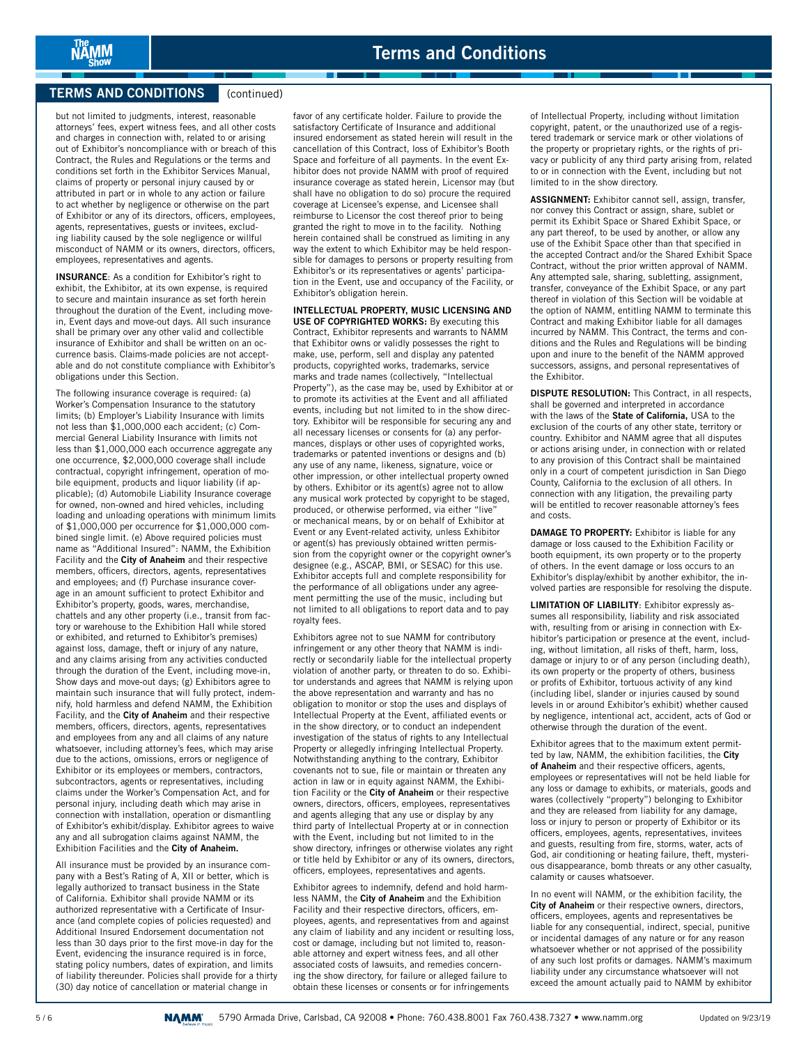## **TERMS AND CONDITIONS** (continued)

NÄMM

but not limited to judgments, interest, reasonable attorneys' fees, expert witness fees, and all other costs and charges in connection with, related to or arising out of Exhibitor's noncompliance with or breach of this Contract, the Rules and Regulations or the terms and conditions set forth in the Exhibitor Services Manual, claims of property or personal injury caused by or attributed in part or in whole to any action or failure to act whether by negligence or otherwise on the part of Exhibitor or any of its directors, officers, employees, agents, representatives, guests or invitees, excluding liability caused by the sole negligence or willful misconduct of NAMM or its owners, directors, officers, employees, representatives and agents.

**INSURANCE**: As a condition for Exhibitor's right to exhibit, the Exhibitor, at its own expense, is required to secure and maintain insurance as set forth herein throughout the duration of the Event, including movein, Event days and move-out days. All such insurance shall be primary over any other valid and collectible insurance of Exhibitor and shall be written on an occurrence basis. Claims-made policies are not acceptable and do not constitute compliance with Exhibitor's obligations under this Section.

The following insurance coverage is required: (a) Worker's Compensation Insurance to the statutory limits; (b) Employer's Liability Insurance with limits not less than \$1,000,000 each accident; (c) Commercial General Liability Insurance with limits not less than \$1,000,000 each occurrence aggregate any one occurrence, \$2,000,000 coverage shall include contractual, copyright infringement, operation of mobile equipment, products and liquor liability (if applicable); (d) Automobile Liability Insurance coverage for owned, non-owned and hired vehicles, including loading and unloading operations with minimum limits of \$1,000,000 per occurrence for \$1,000,000 combined single limit. (e) Above required policies must name as "Additional Insured": NAMM, the Exhibition Facility and the **City of Anaheim** and their respective members, officers, directors, agents, representatives and employees; and (f) Purchase insurance coverage in an amount sufficient to protect Exhibitor and Exhibitor's property, goods, wares, merchandise, chattels and any other property (i.e., transit from factory or warehouse to the Exhibition Hall while stored or exhibited, and returned to Exhibitor's premises) against loss, damage, theft or injury of any nature, and any claims arising from any activities conducted through the duration of the Event, including move-in, Show days and move-out days; (g) Exhibitors agree to maintain such insurance that will fully protect, indemnify, hold harmless and defend NAMM, the Exhibition Facility, and the **City of Anaheim** and their respective members, officers, directors, agents, representatives and employees from any and all claims of any nature whatsoever, including attorney's fees, which may arise due to the actions, omissions, errors or negligence of Exhibitor or its employees or members, contractors, subcontractors, agents or representatives, including claims under the Worker's Compensation Act, and for personal injury, including death which may arise in connection with installation, operation or dismantling of Exhibitor's exhibit/display. Exhibitor agrees to waive any and all subrogation claims against NAMM, the Exhibition Facilities and the **City of Anaheim.**

All insurance must be provided by an insurance company with a Best's Rating of A, XII or better, which is legally authorized to transact business in the State of California. Exhibitor shall provide NAMM or its authorized representative with a Certificate of Insurance (and complete copies of policies requested) and Additional Insured Endorsement documentation not less than 30 days prior to the first move-in day for the Event, evidencing the insurance required is in force, stating policy numbers, dates of expiration, and limits of liability thereunder. Policies shall provide for a thirty (30) day notice of cancellation or material change in

favor of any certificate holder. Failure to provide the satisfactory Certificate of Insurance and additional insured endorsement as stated herein will result in the cancellation of this Contract, loss of Exhibitor's Booth Space and forfeiture of all payments. In the event Exhibitor does not provide NAMM with proof of required insurance coverage as stated herein, Licensor may (but shall have no obligation to do so) procure the required coverage at Licensee's expense, and Licensee shall reimburse to Licensor the cost thereof prior to being granted the right to move in to the facility. Nothing herein contained shall be construed as limiting in any way the extent to which Exhibitor may be held responsible for damages to persons or property resulting from Exhibitor's or its representatives or agents' participation in the Event, use and occupancy of the Facility, or Exhibitor's obligation herein.

ı.

**INTELLECTUAL PROPERTY, MUSIC LICENSING AND USE OF COPYRIGHTED WORKS:** By executing this Contract, Exhibitor represents and warrants to NAMM that Exhibitor owns or validly possesses the right to make, use, perform, sell and display any patented products, copyrighted works, trademarks, service marks and trade names (collectively, "Intellectual Property"), as the case may be, used by Exhibitor at or to promote its activities at the Event and all affiliated events, including but not limited to in the show directory. Exhibitor will be responsible for securing any and all necessary licenses or consents for (a) any performances, displays or other uses of copyrighted works, trademarks or patented inventions or designs and (b) any use of any name, likeness, signature, voice or other impression, or other intellectual property owned by others. Exhibitor or its agent(s) agree not to allow any musical work protected by copyright to be staged, produced, or otherwise performed, via either "live" or mechanical means, by or on behalf of Exhibitor at Event or any Event-related activity, unless Exhibitor or agent(s) has previously obtained written permission from the copyright owner or the copyright owner's designee (e.g., ASCAP, BMI, or SESAC) for this use. Exhibitor accepts full and complete responsibility for the performance of all obligations under any agreement permitting the use of the music, including but not limited to all obligations to report data and to pay royalty fees.

Exhibitors agree not to sue NAMM for contributory infringement or any other theory that NAMM is indirectly or secondarily liable for the intellectual property violation of another party, or threaten to do so. Exhibitor understands and agrees that NAMM is relying upon the above representation and warranty and has no obligation to monitor or stop the uses and displays of Intellectual Property at the Event, affiliated events or in the show directory, or to conduct an independent investigation of the status of rights to any Intellectual Property or allegedly infringing Intellectual Property. Notwithstanding anything to the contrary, Exhibitor covenants not to sue, file or maintain or threaten any action in law or in equity against NAMM, the Exhibition Facility or the **City of Anaheim** or their respective owners, directors, officers, employees, representatives and agents alleging that any use or display by any third party of Intellectual Property at or in connection with the Event, including but not limited to in the show directory, infringes or otherwise violates any right or title held by Exhibitor or any of its owners, directors, officers, employees, representatives and agents.

Exhibitor agrees to indemnify, defend and hold harmless NAMM, the **City of Anaheim** and the Exhibition Facility and their respective directors, officers, employees, agents, and representatives from and against any claim of liability and any incident or resulting loss, cost or damage, including but not limited to, reasonable attorney and expert witness fees, and all other associated costs of lawsuits, and remedies concerning the show directory, for failure or alleged failure to obtain these licenses or consents or for infringements

of Intellectual Property, including without limitation copyright, patent, or the unauthorized use of a registered trademark or service mark or other violations of the property or proprietary rights, or the rights of privacy or publicity of any third party arising from, related to or in connection with the Event, including but not limited to in the show directory.

**ASSIGNMENT:** Exhibitor cannot sell, assign, transfer, nor convey this Contract or assign, share, sublet or permit its Exhibit Space or Shared Exhibit Space, or any part thereof, to be used by another, or allow any use of the Exhibit Space other than that specified in the accepted Contract and/or the Shared Exhibit Space Contract, without the prior written approval of NAMM. Any attempted sale, sharing, subletting, assignment, transfer, conveyance of the Exhibit Space, or any part thereof in violation of this Section will be voidable at the option of NAMM, entitling NAMM to terminate this Contract and making Exhibitor liable for all damages incurred by NAMM. This Contract, the terms and conditions and the Rules and Regulations will be binding upon and inure to the benefit of the NAMM approved successors, assigns, and personal representatives of the Exhibitor.

**DISPUTE RESOLUTION:** This Contract, in all respects, shall be governed and interpreted in accordance with the laws of the **State of California,** USA to the exclusion of the courts of any other state, territory or country. Exhibitor and NAMM agree that all disputes or actions arising under, in connection with or related to any provision of this Contract shall be maintained only in a court of competent jurisdiction in San Diego County, California to the exclusion of all others. In connection with any litigation, the prevailing party will be entitled to recover reasonable attorney's fees and costs.

**DAMAGE TO PROPERTY:** Exhibitor is liable for any damage or loss caused to the Exhibition Facility or booth equipment, its own property or to the property of others. In the event damage or loss occurs to an Exhibitor's display/exhibit by another exhibitor, the involved parties are responsible for resolving the dispute.

**LIMITATION OF LIABILITY**: Exhibitor expressly assumes all responsibility, liability and risk associated with, resulting from or arising in connection with Exhibitor's participation or presence at the event, including, without limitation, all risks of theft, harm, loss, damage or injury to or of any person (including death), its own property or the property of others, business or profits of Exhibitor, tortuous activity of any kind (including libel, slander or injuries caused by sound levels in or around Exhibitor's exhibit) whether caused by negligence, intentional act, accident, acts of God or otherwise through the duration of the event.

Exhibitor agrees that to the maximum extent permitted by law, NAMM, the exhibition facilities, the **City of Anaheim** and their respective officers, agents, employees or representatives will not be held liable for any loss or damage to exhibits, or materials, goods and wares (collectively "property") belonging to Exhibitor and they are released from liability for any damage, loss or injury to person or property of Exhibitor or its officers, employees, agents, representatives, invitees and guests, resulting from fire, storms, water, acts of God, air conditioning or heating failure, theft, mysterious disappearance, bomb threats or any other casualty, calamity or causes whatsoever.

In no event will NAMM, or the exhibition facility, the **City of Anaheim** or their respective owners, directors, officers, employees, agents and representatives be liable for any consequential, indirect, special, punitive or incidental damages of any nature or for any reason whatsoever whether or not apprised of the possibility of any such lost profits or damages. NAMM's maximum liability under any circumstance whatsoever will not exceed the amount actually paid to NAMM by exhibitor